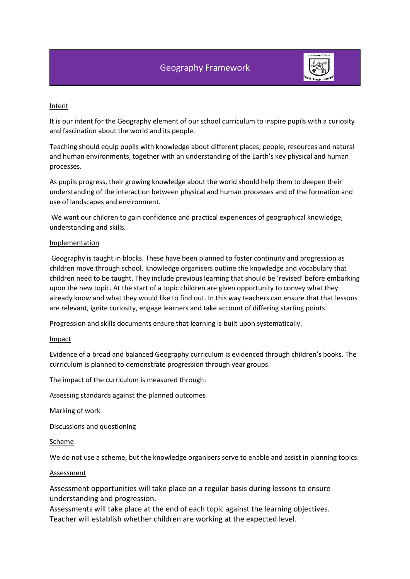

### Intent

It is our intent for the Geography element of our school curriculum to inspire pupils with a curiosity and fascination about the world and its people.

Teaching should equip pupils with knowledge about different places, people, resources and natural and human environments, together with an understanding of the Earth's key physical and human processes.

As pupils progress, their growing knowledge about the world should help them to deepen their understanding of the interaction between physical and human processes and of the formation and use of landscapes and environment.

We want our children to gain confidence and practical experiences of geographical knowledge, understanding and skills.

## Implementation

Geography is taught in blocks. These have been planned to foster continuity and progression as children move through school. Knowledge organisers outline the knowledge and vocabulary that children need to be taught. They include previous learning that should be 'revised' before embarking upon the new topic. At the start of a topic children are given opportunity to convey what they already know and what they would like to find out. In this way teachers can ensure that that lessons are relevant, ignite curiosity, engage learners and take account of differing starting points.

Progression and skills documents ensure that learning is built upon systematically.

## Impact

Evidence of a broad and balanced Geography curriculum is evidenced through children's books. The curriculum is planned to demonstrate progression through year groups.

The impact of the curriculum is measured through:

Assessing standards against the planned outcomes

Marking of work

Discussions and questioning

#### Scheme

We do not use a scheme, but the knowledge organisers serve to enable and assist in planning topics.

## Assessment

Assessment opportunities will take place on a regular basis during lessons to ensure understanding and progression.

Assessments will take place at the end of each topic against the learning objectives. Teacher will establish whether children are working at the expected level.